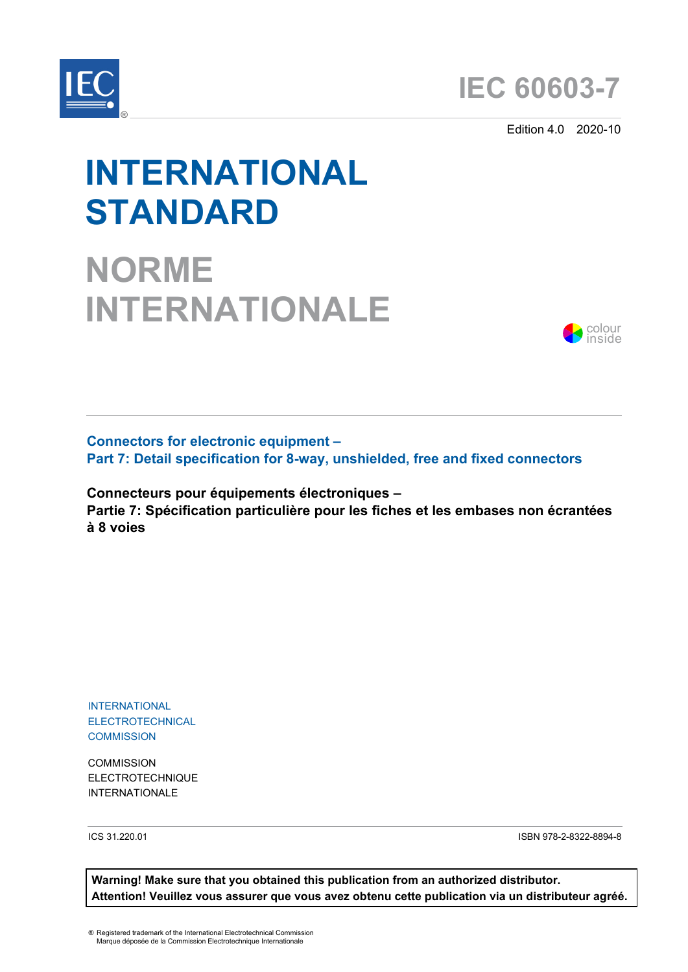



Edition 4.0 2020-10

# **INTERNATIONAL STANDARD**

**NORME INTERNATIONALE**



**Connectors for electronic equipment – Part 7: Detail specification for 8-way, unshielded, free and fixed connectors** 

**Connecteurs pour équipements électroniques – Partie 7: Spécification particulière pour les fiches et les embases non écrantées à 8 voies**

INTERNATIONAL ELECTROTECHNICAL **COMMISSION** 

**COMMISSION** ELECTROTECHNIQUE INTERNATIONALE

ICS 31.220.01 ISBN 978-2-8322-8894-8

**Warning! Make sure that you obtained this publication from an authorized distributor. Attention! Veuillez vous assurer que vous avez obtenu cette publication via un distributeur agréé.**

® Registered trademark of the International Electrotechnical Commission Marque déposée de la Commission Electrotechnique Internationale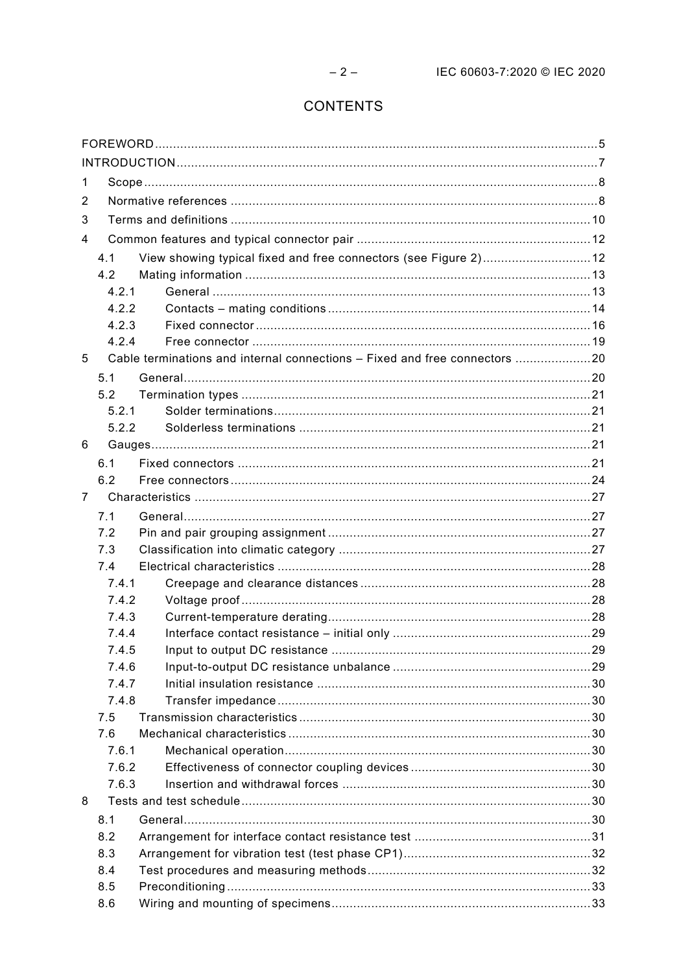# **CONTENTS**

| 1 |              |                                                                            |  |
|---|--------------|----------------------------------------------------------------------------|--|
| 2 |              |                                                                            |  |
| 3 |              |                                                                            |  |
| 4 |              |                                                                            |  |
|   | 4.1          | View showing typical fixed and free connectors (see Figure 2)12            |  |
|   | 4.2          |                                                                            |  |
|   | 4.2.1        |                                                                            |  |
|   | 4.2.2        |                                                                            |  |
|   | 4.2.3        |                                                                            |  |
|   | 4.2.4        |                                                                            |  |
| 5 |              | Cable terminations and internal connections - Fixed and free connectors 20 |  |
|   | 5.1          |                                                                            |  |
|   | 5.2          |                                                                            |  |
|   | 5.2.1        |                                                                            |  |
|   | 5.2.2        |                                                                            |  |
| 6 |              |                                                                            |  |
|   | 6.1          |                                                                            |  |
|   | 6.2          |                                                                            |  |
| 7 |              |                                                                            |  |
|   | 7.1          |                                                                            |  |
|   | 7.2          |                                                                            |  |
|   | 7.3          |                                                                            |  |
|   | 7.4          |                                                                            |  |
|   | 7.4.1        |                                                                            |  |
|   | 7.4.2        |                                                                            |  |
|   | 7.4.3        |                                                                            |  |
|   | 7.4.4        |                                                                            |  |
|   | 7.4.5        |                                                                            |  |
|   | 7.4.6        |                                                                            |  |
|   | 7.4.7        |                                                                            |  |
|   | 7.4.8<br>7.5 |                                                                            |  |
|   | 7.6          |                                                                            |  |
|   | 7.6.1        |                                                                            |  |
|   | 7.6.2        |                                                                            |  |
|   | 7.6.3        |                                                                            |  |
| 8 |              |                                                                            |  |
|   | 8.1          |                                                                            |  |
|   | 8.2          |                                                                            |  |
|   | 8.3          |                                                                            |  |
|   | 8.4          |                                                                            |  |
|   | 8.5          |                                                                            |  |
|   | 8.6          |                                                                            |  |
|   |              |                                                                            |  |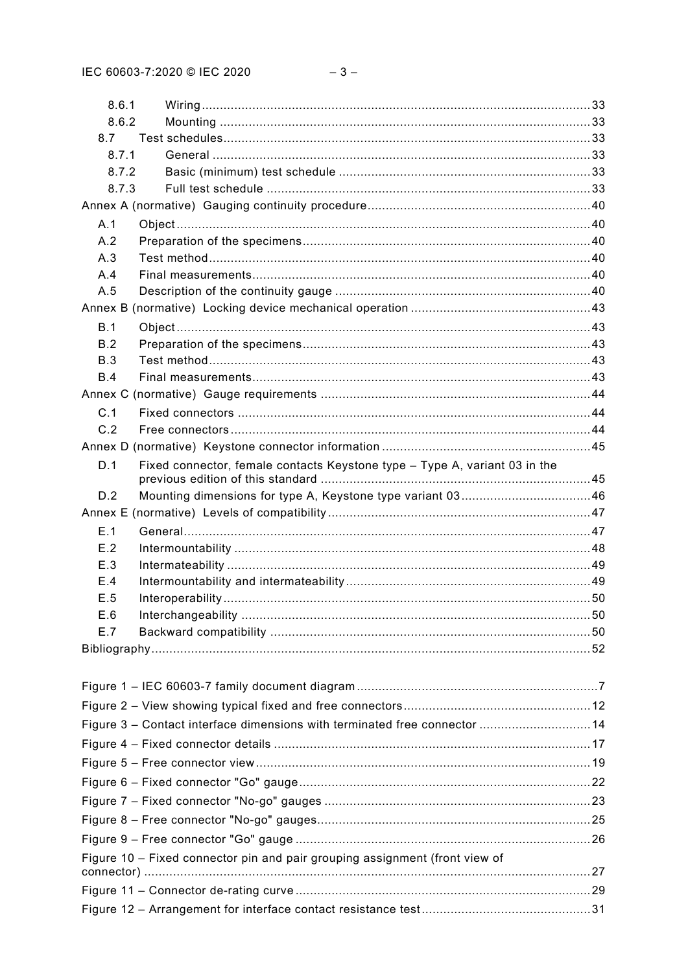| 8.6.1      |                                                                             |  |
|------------|-----------------------------------------------------------------------------|--|
| 8.6.2      |                                                                             |  |
| 8.7        |                                                                             |  |
| 8.7.1      |                                                                             |  |
| 8.7.2      |                                                                             |  |
| 8.7.3      |                                                                             |  |
|            |                                                                             |  |
| A.1        |                                                                             |  |
| A.2        |                                                                             |  |
| A.3        |                                                                             |  |
| A.4        |                                                                             |  |
| A.5        |                                                                             |  |
|            |                                                                             |  |
| B.1        |                                                                             |  |
| B.2        |                                                                             |  |
| B.3<br>B.4 |                                                                             |  |
|            |                                                                             |  |
| C.1        |                                                                             |  |
| C.2        |                                                                             |  |
|            |                                                                             |  |
| D.1        | Fixed connector, female contacts Keystone type - Type A, variant 03 in the  |  |
|            |                                                                             |  |
| D.2        |                                                                             |  |
|            |                                                                             |  |
| E.1        |                                                                             |  |
| E.2        |                                                                             |  |
| E.3        |                                                                             |  |
| E.4        |                                                                             |  |
| E.5        |                                                                             |  |
| E.6        |                                                                             |  |
| E.7        |                                                                             |  |
|            |                                                                             |  |
|            |                                                                             |  |
|            |                                                                             |  |
|            |                                                                             |  |
|            | Figure 3 - Contact interface dimensions with terminated free connector  14  |  |
|            |                                                                             |  |
|            |                                                                             |  |
|            |                                                                             |  |
|            |                                                                             |  |
|            |                                                                             |  |
|            |                                                                             |  |
|            | Figure 10 - Fixed connector pin and pair grouping assignment (front view of |  |
|            |                                                                             |  |
|            |                                                                             |  |
|            |                                                                             |  |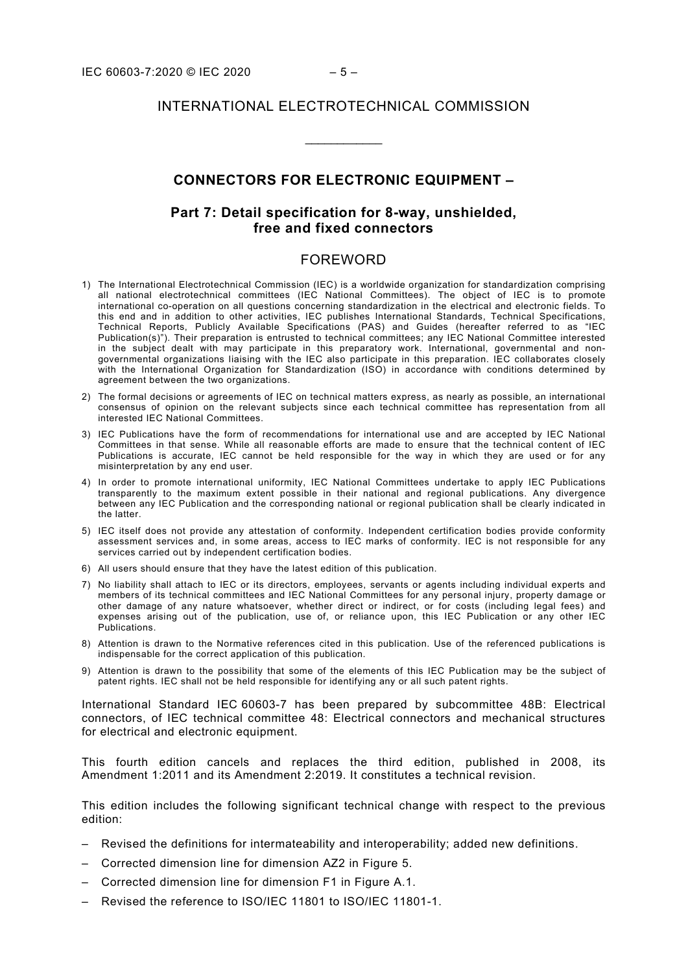## INTERNATIONAL ELECTROTECHNICAL COMMISSION

\_\_\_\_\_\_\_\_\_\_\_\_

## **CONNECTORS FOR ELECTRONIC EQUIPMENT –**

## **Part 7: Detail specification for 8-way, unshielded, free and fixed connectors**

### FOREWORD

- <span id="page-4-0"></span>1) The International Electrotechnical Commission (IEC) is a worldwide organization for standardization comprising all national electrotechnical committees (IEC National Committees). The object of IEC is to promote international co-operation on all questions concerning standardization in the electrical and electronic fields. To this end and in addition to other activities, IEC publishes International Standards, Technical Specifications, Technical Reports, Publicly Available Specifications (PAS) and Guides (hereafter referred to as "IEC Publication(s)"). Their preparation is entrusted to technical committees; any IEC National Committee interested in the subject dealt with may participate in this preparatory work. International, governmental and nongovernmental organizations liaising with the IEC also participate in this preparation. IEC collaborates closely with the International Organization for Standardization (ISO) in accordance with conditions determined by agreement between the two organizations.
- 2) The formal decisions or agreements of IEC on technical matters express, as nearly as possible, an international consensus of opinion on the relevant subjects since each technical committee has representation from all interested IEC National Committees.
- 3) IEC Publications have the form of recommendations for international use and are accepted by IEC National Committees in that sense. While all reasonable efforts are made to ensure that the technical content of IEC Publications is accurate, IEC cannot be held responsible for the way in which they are used or for any misinterpretation by any end user.
- 4) In order to promote international uniformity, IEC National Committees undertake to apply IEC Publications transparently to the maximum extent possible in their national and regional publications. Any divergence between any IEC Publication and the corresponding national or regional publication shall be clearly indicated in the latter.
- 5) IEC itself does not provide any attestation of conformity. Independent certification bodies provide conformity assessment services and, in some areas, access to IEC marks of conformity. IEC is not responsible for any services carried out by independent certification bodies.
- 6) All users should ensure that they have the latest edition of this publication.
- 7) No liability shall attach to IEC or its directors, employees, servants or agents including individual experts and members of its technical committees and IEC National Committees for any personal injury, property damage or other damage of any nature whatsoever, whether direct or indirect, or for costs (including legal fees) and expenses arising out of the publication, use of, or reliance upon, this IEC Publication or any other IEC Publications.
- 8) Attention is drawn to the Normative references cited in this publication. Use of the referenced publications is indispensable for the correct application of this publication.
- 9) Attention is drawn to the possibility that some of the elements of this IEC Publication may be the subject of patent rights. IEC shall not be held responsible for identifying any or all such patent rights.

International Standard IEC 60603-7 has been prepared by subcommittee 48B: Electrical connectors, of IEC technical committee 48: Electrical connectors and mechanical structures for electrical and electronic equipment.

This fourth edition cancels and replaces the third edition, published in 2008, its Amendment 1:2011 and its Amendment 2:2019. It constitutes a technical revision.

This edition includes the following significant technical change with respect to the previous edition:

- Revised the definitions for intermateability and interoperability; added new definitions.
- Corrected dimension line for dimension AZ2 in Figure 5.
- Corrected dimension line for dimension F1 in Figure A.1.
- Revised the reference to ISO/IEC 11801 to ISO/IEC 11801-1.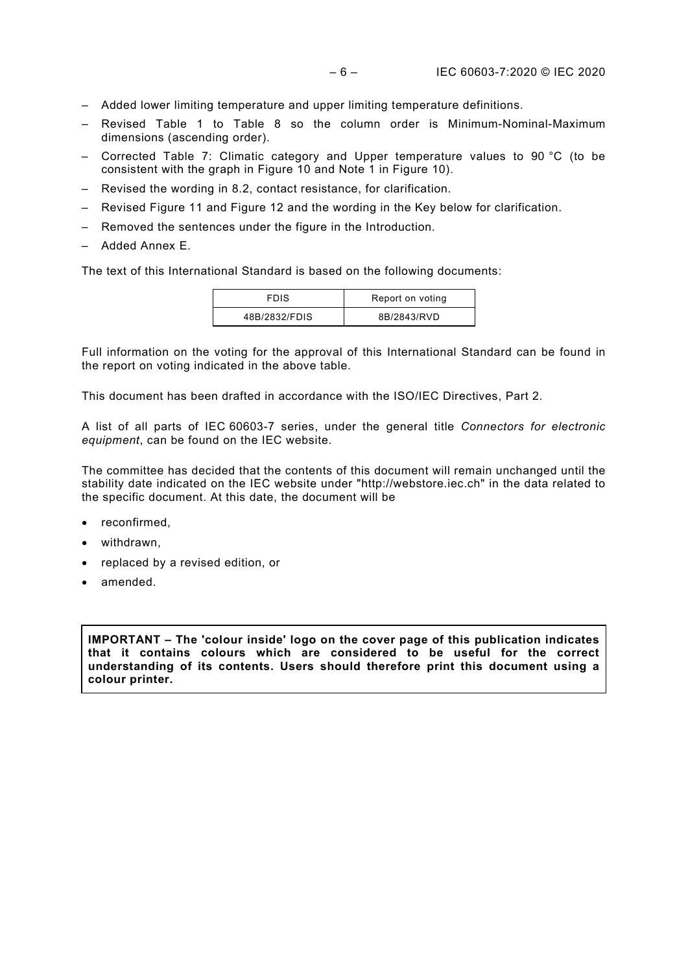- Added lower limiting temperature and upper limiting temperature definitions.
- Revised Table 1 to Table 8 so the column order is Minimum-Nominal-Maximum dimensions (ascending order).
- Corrected Table 7: Climatic category and Upper temperature values to 90 °C (to be consistent with the graph in Figure 10 and Note 1 in Figure 10).
- Revised the wording in 8.2, contact resistance, for clarification.
- Revised Figure 11 and Figure 12 and the wording in the Key below for clarification.
- Removed the sentences under the figure in the Introduction.
- Added Annex E.

The text of this International Standard is based on the following documents:

| <b>FDIS</b>   | Report on voting |
|---------------|------------------|
| 48B/2832/FDIS | 8B/2843/RVD      |

Full information on the voting for the approval of this International Standard can be found in the report on voting indicated in the above table.

This document has been drafted in accordance with the ISO/IEC Directives, Part 2.

A list of all parts of IEC 60603-7 series, under the general title *Connectors for electronic equipment*, can be found on the IEC website.

The committee has decided that the contents of this document will remain unchanged until the stability date indicated on the IEC website under "http://webstore.iec.ch" in the data related to the specific document. At this date, the document will be

- reconfirmed,
- withdrawn.
- replaced by a revised edition, or
- amended.

**IMPORTANT – The 'colour inside' logo on the cover page of this publication indicates that it contains colours which are considered to be useful for the correct understanding of its contents. Users should therefore print this document using a colour printer.**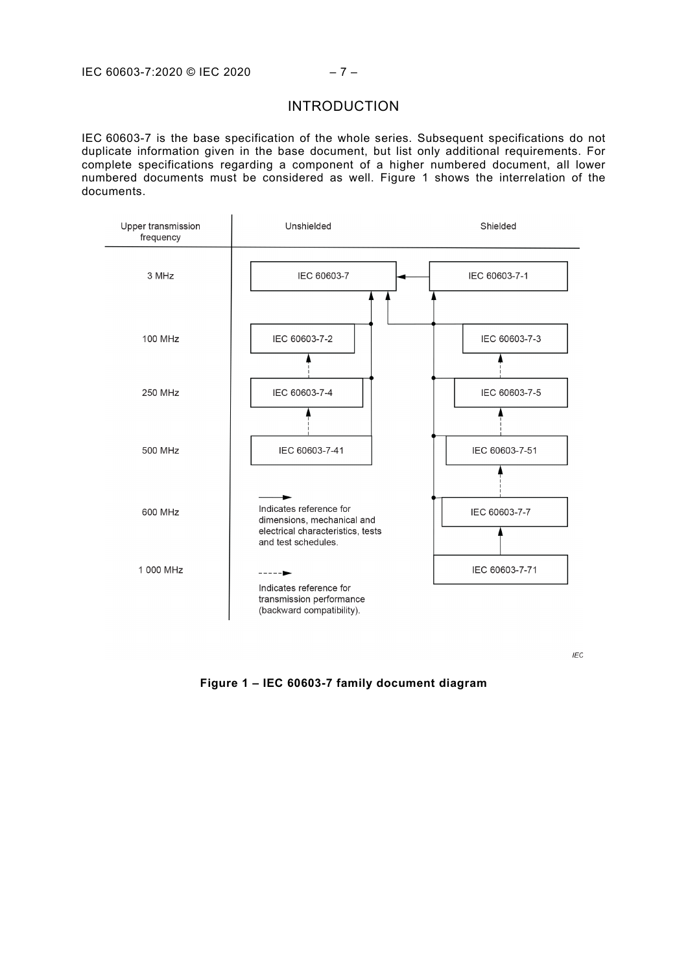## INTRODUCTION

<span id="page-6-0"></span>IEC 60603-7 is the base specification of the whole series. Subsequent specifications do not duplicate information given in the base document, but list only additional requirements. For complete specifications regarding a component of a higher numbered document, all lower numbered documents must be considered as well. [Figure 1](#page-6-1) shows the interrelation of the documents.



IEC

<span id="page-6-1"></span>**Figure 1 – IEC 60603-7 family document diagram**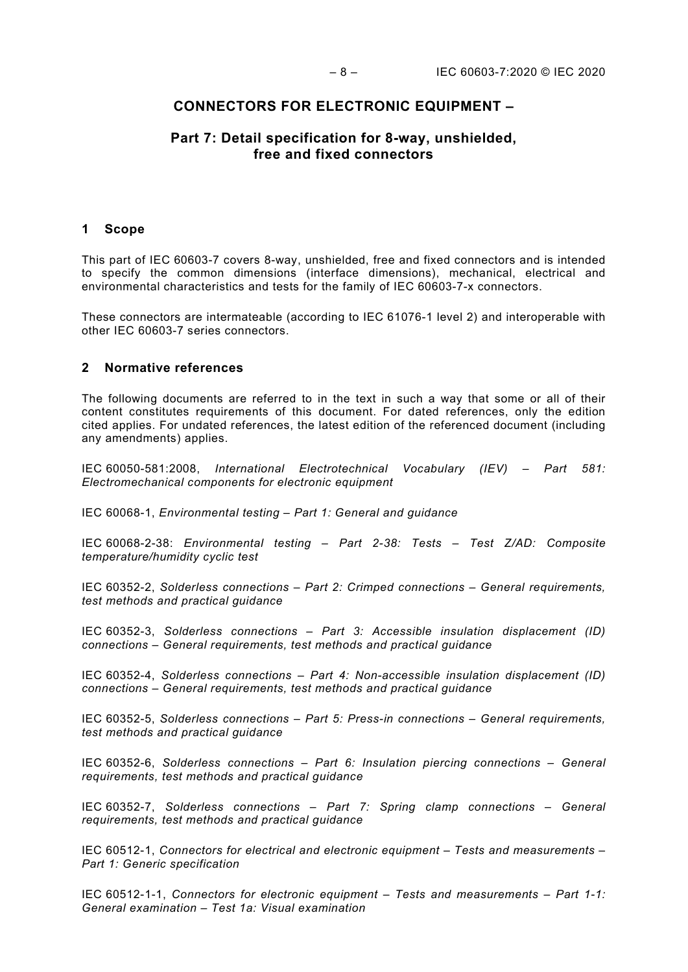# **CONNECTORS FOR ELECTRONIC EQUIPMENT –**

# **Part 7: Detail specification for 8-way, unshielded, free and fixed connectors**

### <span id="page-7-0"></span>**1 Scope**

This part of IEC 60603-7 covers 8-way, unshielded, free and fixed connectors and is intended to specify the common dimensions (interface dimensions), mechanical, electrical and environmental characteristics and tests for the family of IEC 60603-7-x connectors.

These connectors are intermateable (according to IEC 61076-1 level 2) and interoperable with other IEC 60603-7 series connectors.

## <span id="page-7-1"></span>**2 Normative references**

The following documents are referred to in the text in such a way that some or all of their content constitutes requirements of this document. For dated references, only the edition cited applies. For undated references, the latest edition of the referenced document (including any amendments) applies.

IEC 60050-581:2008, *International Electrotechnical Vocabulary (IEV) – Part 581: Electromechanical components for electronic equipment*

IEC 60068-1, *Environmental testing – Part 1: General and guidance*

IEC 60068-2-38: *Environmental testing – Part 2-38: Tests – Test Z/AD: Composite temperature/humidity cyclic test*

IEC 60352-2, *Solderless connections – Part 2: Crimped connections – General requirements, test methods and practical guidance*

IEC 60352-3, *Solderless connections – Part 3: Accessible insulation displacement (ID) connections – General requirements, test methods and practical guidance*

IEC 60352-4, *Solderless connections – Part 4: Non-accessible insulation displacement (ID) connections – General requirements, test methods and practical guidance*

IEC 60352-5, *Solderless connections – Part 5: Press-in connections – General requirements, test methods and practical guidance*

IEC 60352-6, *Solderless connections – Part 6: Insulation piercing connections – General requirements, test methods and practical guidance*

IEC 60352-7, *Solderless connections – Part 7: Spring clamp connections – General requirements, test methods and practical guidance*

IEC 60512-1, *Connectors for electrical and electronic equipment – Tests and measurements – Part 1: Generic specification*

IEC 60512-1-1, *Connectors for electronic equipment – Tests and measurements – Part 1-1: General examination – Test 1a: Visual examination*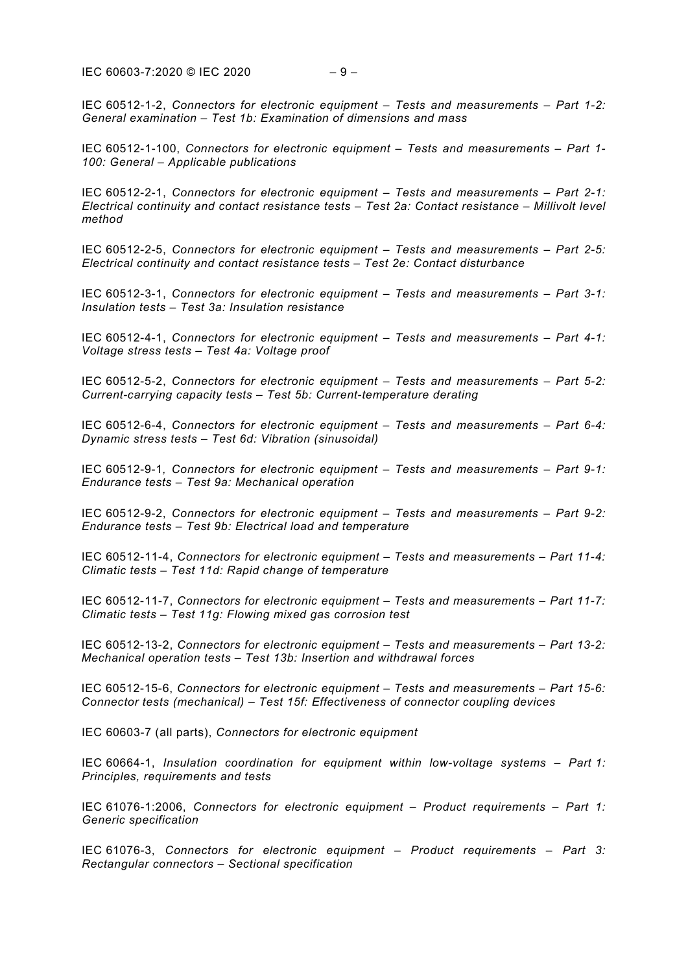IEC 60603-7:2020 © IEC 2020  $-9-$ 

IEC 60512-1-2, *Connectors for electronic equipment – Tests and measurements – Part 1-2: General examination – Test 1b: Examination of dimensions and mass*

IEC 60512-1-100, *Connectors for electronic equipment – Tests and measurements – Part 1- 100: General – Applicable publications*

IEC 60512-2-1, *Connectors for electronic equipment – Tests and measurements – Part 2-1: Electrical continuity and contact resistance tests – Test 2a: Contact resistance – Millivolt level method*

IEC 60512-2-5, *Connectors for electronic equipment – Tests and measurements – Part 2-5: Electrical continuity and contact resistance tests – Test 2e: Contact disturbance*

IEC 60512-3-1, *Connectors for electronic equipment – Tests and measurements – Part 3-1: Insulation tests – Test 3a: Insulation resistance*

IEC 60512-4-1, *Connectors for electronic equipment – Tests and measurements – Part 4-1: Voltage stress tests – Test 4a: Voltage proof*

IEC 60512-5-2, *Connectors for electronic equipment – Tests and measurements – Part 5-2: Current-carrying capacity tests – Test 5b: Current-temperature derating*

IEC 60512-6-4, *Connectors for electronic equipment – Tests and measurements – Part 6-4: Dynamic stress tests – Test 6d: Vibration (sinusoidal)*

IEC 60512-9-1*, Connectors for electronic equipment – Tests and measurements – Part 9-1: Endurance tests – Test 9a: Mechanical operation*

IEC 60512-9-2, *Connectors for electronic equipment – Tests and measurements – Part 9-2: Endurance tests – Test 9b: Electrical load and temperature*

IEC 60512-11-4, *Connectors for electronic equipment – Tests and measurements – Part 11-4: Climatic tests – Test 11d: Rapid change of temperature*

IEC 60512-11-7, *Connectors for electronic equipment – Tests and measurements – Part 11-7: Climatic tests – Test 11g: Flowing mixed gas corrosion test*

IEC 60512-13-2, *Connectors for electronic equipment – Tests and measurements – Part 13-2: Mechanical operation tests – Test 13b: Insertion and withdrawal forces*

IEC 60512-15-6, *Connectors for electronic equipment – Tests and measurements – Part 15-6: Connector tests (mechanical) – Test 15f: Effectiveness of connector coupling devices*

IEC 60603-7 (all parts), *Connectors for electronic equipment*

IEC 60664-1, *Insulation coordination for equipment within low-voltage systems – Part 1: Principles, requirements and tests*

IEC 61076-1:2006, *Connectors for electronic equipment – Product requirements – Part 1: Generic specification*

IEC 61076-3, *Connectors for electronic equipment – Product requirements – Part 3: Rectangular connectors – Sectional specification*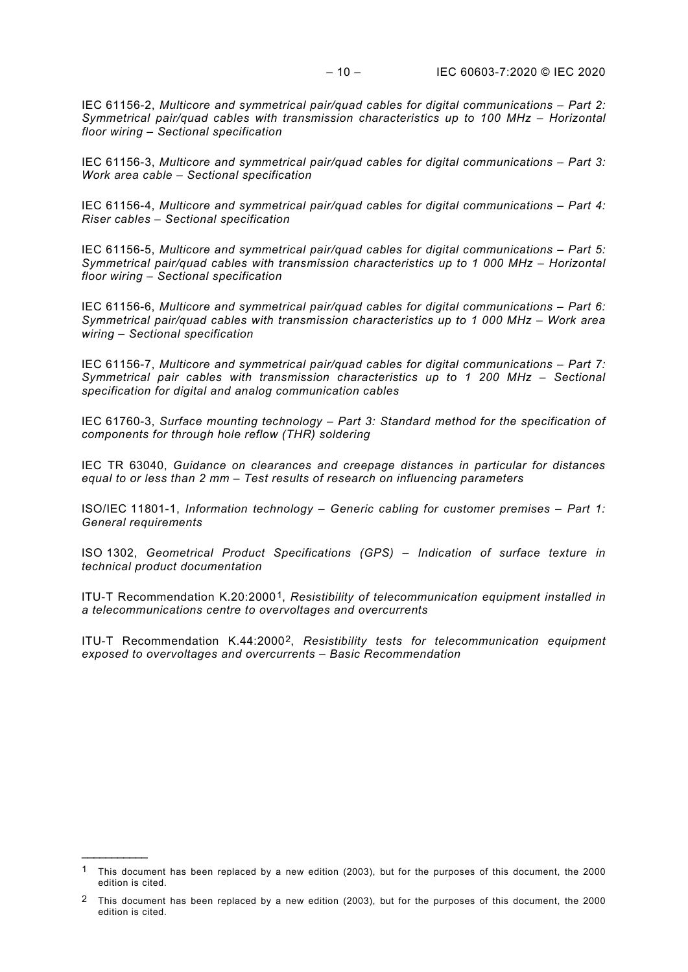IEC 61156-2, *Multicore and symmetrical pair/quad cables for digital communications – Part 2: Symmetrical pair/quad cables with transmission characteristics up to 100 MHz – Horizontal floor wiring – Sectional specification*

IEC 61156-3, *Multicore and symmetrical pair/quad cables for digital communications – Part 3: Work area cable – Sectional specification*

IEC 61156-4, *Multicore and symmetrical pair/quad cables for digital communications – Part 4: Riser cables – Sectional specification*

IEC 61156-5, *Multicore and symmetrical pair/quad cables for digital communications – Part 5: Symmetrical pair/quad cables with transmission characteristics up to 1 000 MHz – Horizontal floor wiring – Sectional specification*

IEC 61156-6, *Multicore and symmetrical pair/quad cables for digital communications – Part 6: Symmetrical pair/quad cables with transmission characteristics up to 1 000 MHz – Work area wiring – Sectional specification*

IEC 61156-7, *Multicore and symmetrical pair/quad cables for digital communications – Part 7: Symmetrical pair cables with transmission characteristics up to 1 200 MHz – Sectional specification for digital and analog communication cables*

IEC 61760-3, *Surface mounting technology – Part 3: Standard method for the specification of components for through hole reflow (THR) soldering*

IEC TR 63040, *Guidance on clearances and creepage distances in particular for distances equal to or less than 2 mm – Test results of research on influencing parameters*

ISO/IEC 11801-1, *Information technology – Generic cabling for customer premises – Part 1: General requirements*

ISO 1302, *Geometrical Product Specifications (GPS) – Indication of surface texture in technical product documentation*

ITU-T Recommendation K.20:2000[1](#page-9-1), *Resistibility of telecommunication equipment installed in a telecommunications centre to overvoltages and overcurrents*

<span id="page-9-0"></span>ITU-T Recommendation K.44:2000[2,](#page-9-2) *Resistibility tests for telecommunication equipment exposed to overvoltages and overcurrents – Basic Recommendation*

\_\_\_\_\_\_\_\_\_\_\_\_\_

<span id="page-9-1"></span><sup>1</sup> This document has been replaced by a new edition (2003), but for the purposes of this document, the 2000 edition is cited.

<span id="page-9-2"></span><sup>2</sup> This document has been replaced by a new edition (2003), but for the purposes of this document, the 2000 edition is cited.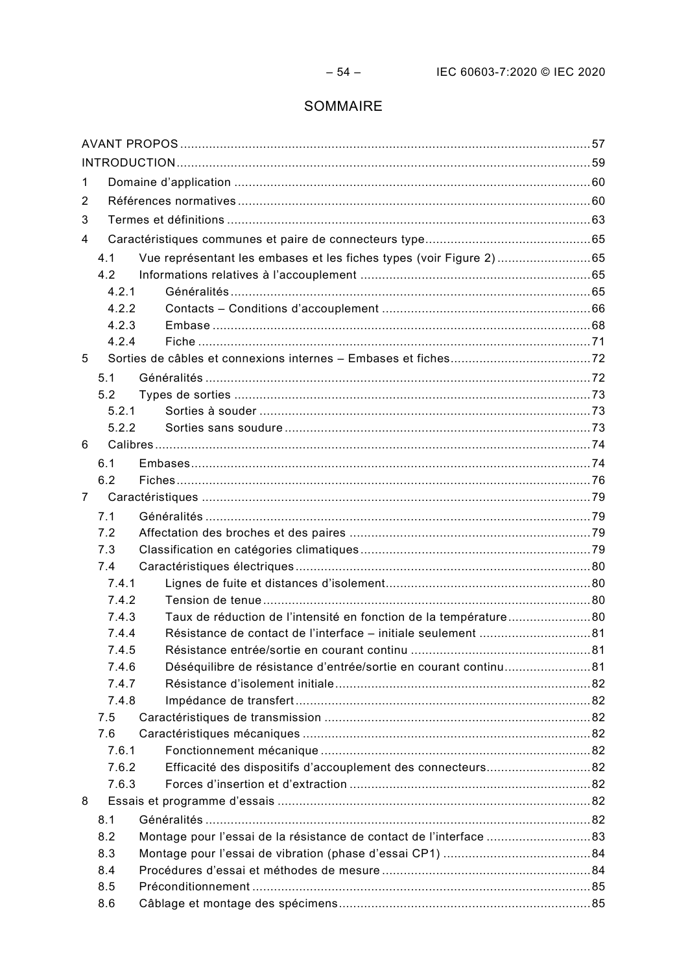# SOMMAIRE

| 1 |                |                                                                    |  |
|---|----------------|--------------------------------------------------------------------|--|
| 2 |                |                                                                    |  |
| 3 |                |                                                                    |  |
| 4 |                |                                                                    |  |
|   | 4.1            | Vue représentant les embases et les fiches types (voir Figure 2)65 |  |
|   | 4.2            |                                                                    |  |
|   | 4.2.1          |                                                                    |  |
|   | 4.2.2          |                                                                    |  |
|   | 4.2.3          |                                                                    |  |
|   | 4.2.4          |                                                                    |  |
| 5 |                |                                                                    |  |
|   | 5.1            |                                                                    |  |
|   | 5.2            |                                                                    |  |
|   | 5.2.1          |                                                                    |  |
|   | 5.2.2          |                                                                    |  |
| 6 |                |                                                                    |  |
|   | 6.1            |                                                                    |  |
|   | 6.2            |                                                                    |  |
| 7 |                |                                                                    |  |
|   | 7.1            |                                                                    |  |
|   | 7.2            |                                                                    |  |
|   | 7.3            |                                                                    |  |
|   | 7.4            |                                                                    |  |
|   | 7.4.1          |                                                                    |  |
|   | 7.4.2          |                                                                    |  |
|   | 7.4.3          | Taux de réduction de l'intensité en fonction de la température80   |  |
|   | 7.4.4          |                                                                    |  |
|   | 7.4.5          |                                                                    |  |
|   | 7.4.6<br>7.4.7 |                                                                    |  |
|   | 7.4.8          |                                                                    |  |
|   | 7.5            |                                                                    |  |
|   | 7.6            |                                                                    |  |
|   | 7.6.1          |                                                                    |  |
|   | 7.6.2          |                                                                    |  |
|   | 7.6.3          |                                                                    |  |
| 8 |                |                                                                    |  |
|   | 8.1            |                                                                    |  |
|   | 8.2            |                                                                    |  |
|   | 8.3            |                                                                    |  |
|   | 8.4            |                                                                    |  |
|   | 8.5            |                                                                    |  |
|   | 8.6            |                                                                    |  |
|   |                |                                                                    |  |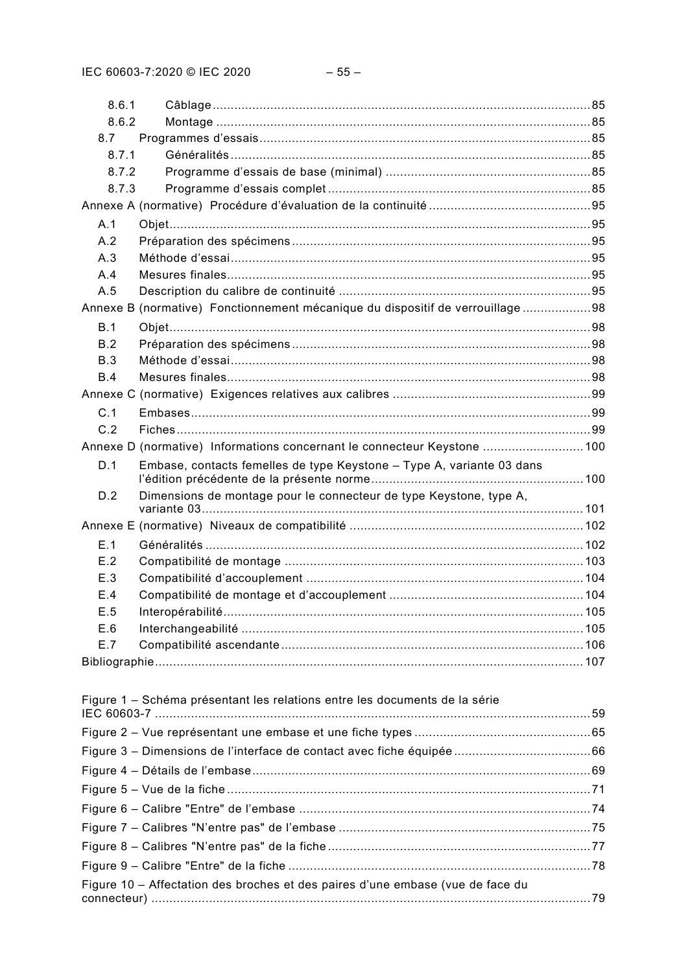| 8.6.1      |                                                                                |  |
|------------|--------------------------------------------------------------------------------|--|
| 8.6.2      |                                                                                |  |
| 8.7        |                                                                                |  |
| 8.7.1      |                                                                                |  |
| 8.7.2      |                                                                                |  |
| 8.7.3      |                                                                                |  |
|            |                                                                                |  |
| A.1        |                                                                                |  |
| A.2        |                                                                                |  |
| A.3        |                                                                                |  |
| A.4        |                                                                                |  |
| A.5        | Annexe B (normative) Fonctionnement mécanique du dispositif de verrouillage98  |  |
|            |                                                                                |  |
| B.1<br>B.2 |                                                                                |  |
| B.3        |                                                                                |  |
| B.4        |                                                                                |  |
|            |                                                                                |  |
| C.1        |                                                                                |  |
| C.2        |                                                                                |  |
|            | Annexe D (normative) Informations concernant le connecteur Keystone 100        |  |
| D.1        | Embase, contacts femelles de type Keystone - Type A, variante 03 dans          |  |
|            |                                                                                |  |
| D.2        | Dimensions de montage pour le connecteur de type Keystone, type A,             |  |
|            |                                                                                |  |
| E.1        |                                                                                |  |
| E.2        |                                                                                |  |
| E.3        |                                                                                |  |
| E.4        |                                                                                |  |
| E.5        |                                                                                |  |
| E.6        |                                                                                |  |
| E.7        |                                                                                |  |
|            |                                                                                |  |
|            |                                                                                |  |
|            | Figure 1 - Schéma présentant les relations entre les documents de la série     |  |
|            |                                                                                |  |
|            |                                                                                |  |
|            |                                                                                |  |
|            |                                                                                |  |
|            |                                                                                |  |
|            |                                                                                |  |
|            |                                                                                |  |
|            |                                                                                |  |
|            |                                                                                |  |
|            | Figure 10 - Affectation des broches et des paires d'une embase (vue de face du |  |
|            |                                                                                |  |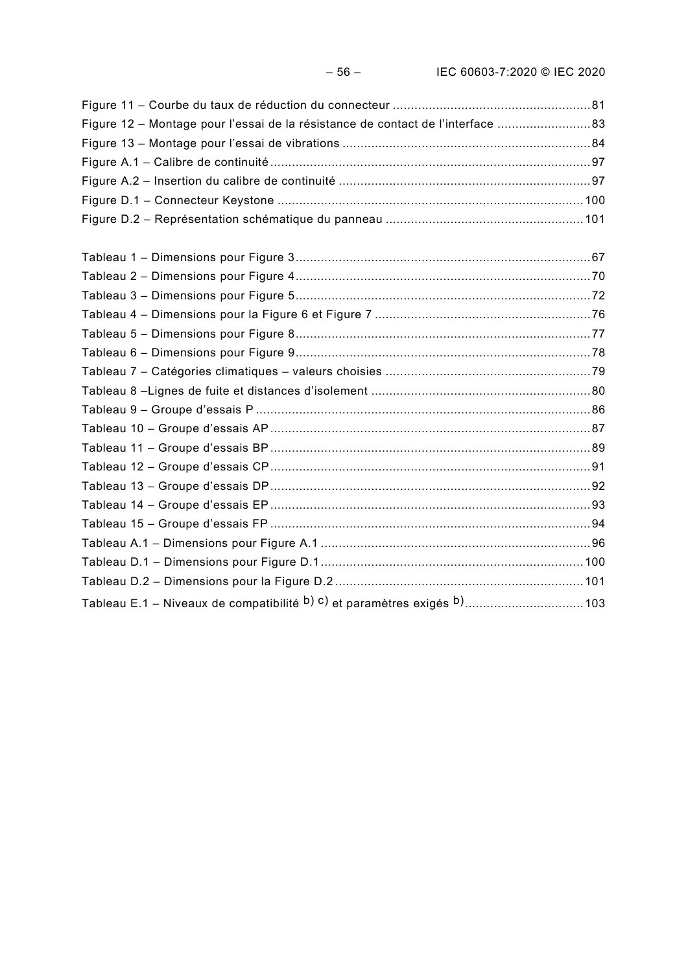| Figure 12 - Montage pour l'essai de la résistance de contact de l'interface 83 |  |
|--------------------------------------------------------------------------------|--|
|                                                                                |  |
|                                                                                |  |
|                                                                                |  |
|                                                                                |  |
|                                                                                |  |
|                                                                                |  |
|                                                                                |  |
|                                                                                |  |
|                                                                                |  |
|                                                                                |  |
|                                                                                |  |
|                                                                                |  |
|                                                                                |  |
|                                                                                |  |
|                                                                                |  |
|                                                                                |  |
|                                                                                |  |
|                                                                                |  |
|                                                                                |  |
|                                                                                |  |
|                                                                                |  |
|                                                                                |  |
|                                                                                |  |
|                                                                                |  |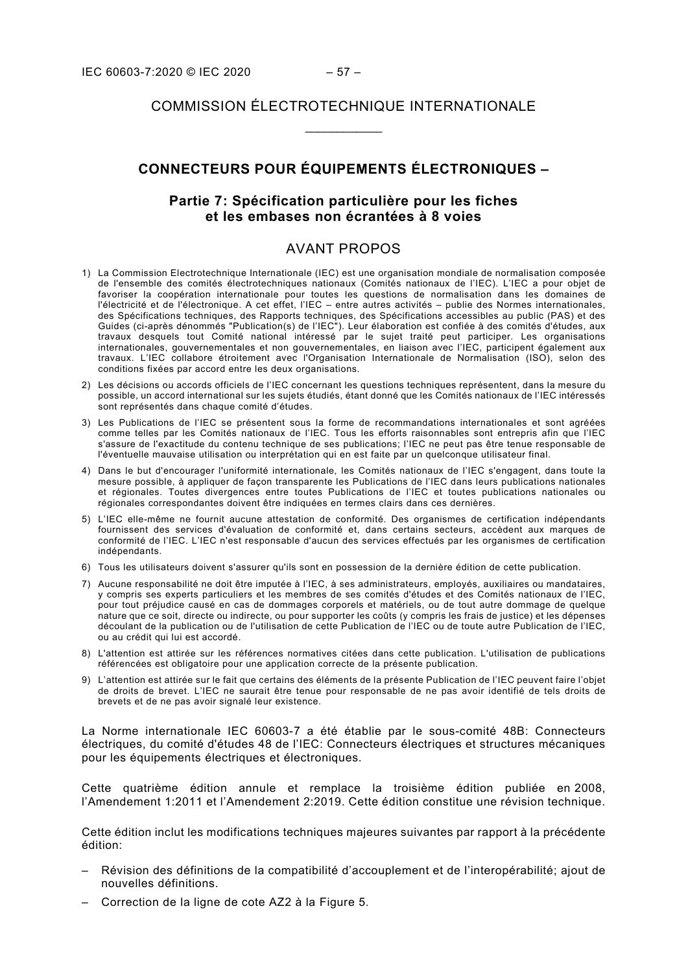# COMMISSION ÉLECTROTECHNIQUE INTERNATIONALE \_\_\_\_\_\_\_\_\_\_\_\_

# **CONNECTEURS POUR ÉQUIPEMENTS ÉLECTRONIQUES –**

## **Partie 7: Spécification particulière pour les fiches et les embases non écrantées à 8 voies**

# AVANT PROPOS

- <span id="page-13-0"></span>1) La Commission Electrotechnique Internationale (IEC) est une organisation mondiale de normalisation composée de l'ensemble des comités électrotechniques nationaux (Comités nationaux de l'IEC). L'IEC a pour objet de favoriser la coopération internationale pour toutes les questions de normalisation dans les domaines de l'électricité et de l'électronique. A cet effet, l'IEC – entre autres activités – publie des Normes internationales, des Spécifications techniques, des Rapports techniques, des Spécifications accessibles au public (PAS) et des Guides (ci-après dénommés "Publication(s) de l'IEC"). Leur élaboration est confiée à des comités d'études, aux travaux desquels tout Comité national intéressé par le sujet traité peut participer. Les organisations internationales, gouvernementales et non gouvernementales, en liaison avec l'IEC, participent également aux travaux. L'IEC collabore étroitement avec l'Organisation Internationale de Normalisation (ISO), selon des conditions fixées par accord entre les deux organisations.
- 2) Les décisions ou accords officiels de l'IEC concernant les questions techniques représentent, dans la mesure du possible, un accord international sur les sujets étudiés, étant donné que les Comités nationaux de l'IEC intéressés sont représentés dans chaque comité d'études.
- 3) Les Publications de l'IEC se présentent sous la forme de recommandations internationales et sont agréées comme telles par les Comités nationaux de l'IEC. Tous les efforts raisonnables sont entrepris afin que l'IEC s'assure de l'exactitude du contenu technique de ses publications; l'IEC ne peut pas être tenue responsable de l'éventuelle mauvaise utilisation ou interprétation qui en est faite par un quelconque utilisateur final.
- 4) Dans le but d'encourager l'uniformité internationale, les Comités nationaux de l'IEC s'engagent, dans toute la mesure possible, à appliquer de façon transparente les Publications de l'IEC dans leurs publications nationales et régionales. Toutes divergences entre toutes Publications de l'IEC et toutes publications nationales ou régionales correspondantes doivent être indiquées en termes clairs dans ces dernières.
- 5) L'IEC elle-même ne fournit aucune attestation de conformité. Des organismes de certification indépendants fournissent des services d'évaluation de conformité et, dans certains secteurs, accèdent aux marques de conformité de l'IEC. L'IEC n'est responsable d'aucun des services effectués par les organismes de certification indépendants.
- 6) Tous les utilisateurs doivent s'assurer qu'ils sont en possession de la dernière édition de cette publication.
- 7) Aucune responsabilité ne doit être imputée à l'IEC, à ses administrateurs, employés, auxiliaires ou mandataires, y compris ses experts particuliers et les membres de ses comités d'études et des Comités nationaux de l'IEC, pour tout préjudice causé en cas de dommages corporels et matériels, ou de tout autre dommage de quelque nature que ce soit, directe ou indirecte, ou pour supporter les coûts (y compris les frais de justice) et les dépenses découlant de la publication ou de l'utilisation de cette Publication de l'IEC ou de toute autre Publication de l'IEC, ou au crédit qui lui est accordé.
- 8) L'attention est attirée sur les références normatives citées dans cette publication. L'utilisation de publications référencées est obligatoire pour une application correcte de la présente publication.
- 9) L'attention est attirée sur le fait que certains des éléments de la présente Publication de l'IEC peuvent faire l'objet de droits de brevet. L'IEC ne saurait être tenue pour responsable de ne pas avoir identifié de tels droits de brevets et de ne pas avoir signalé leur existence.

La Norme internationale IEC 60603-7 a été établie par le sous-comité 48B: Connecteurs électriques, du comité d'études 48 de l'IEC: Connecteurs électriques et structures mécaniques pour les équipements électriques et électroniques.

Cette quatrième édition annule et remplace la troisième édition publiée en 2008, l'Amendement 1:2011 et l'Amendement 2:2019. Cette édition constitue une révision technique.

Cette édition inclut les modifications techniques majeures suivantes par rapport à la précédente édition:

- Révision des définitions de la compatibilité d'accouplement et de l'interopérabilité; ajout de nouvelles définitions.
- Correction de la ligne de cote AZ2 à la Figure 5.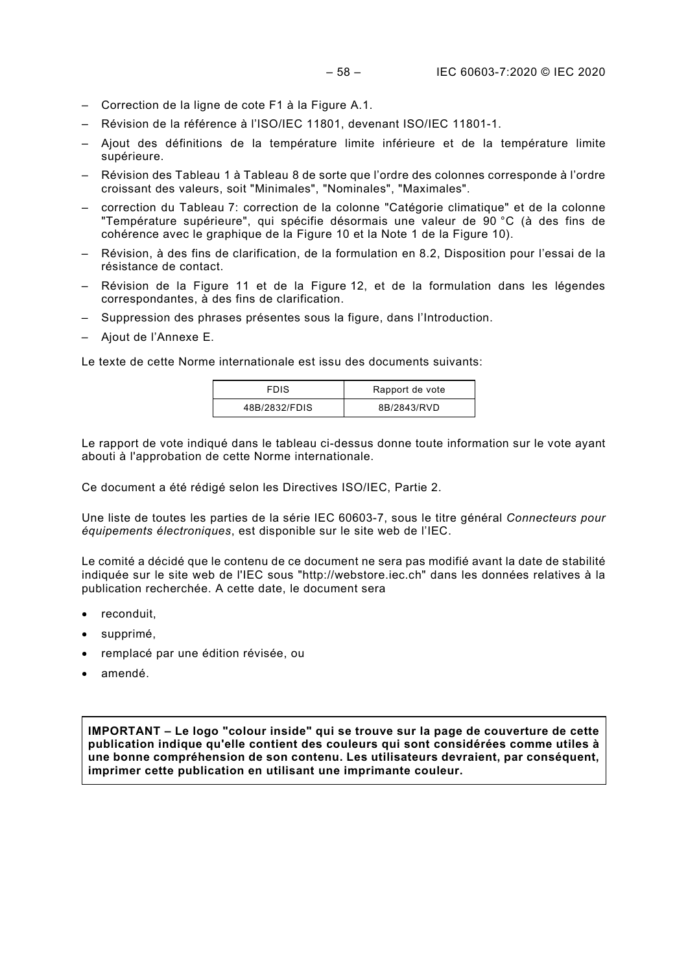- Correction de la ligne de cote F1 à la Figure A.1.
- Révision de la référence à l'ISO/IEC 11801, devenant ISO/IEC 11801-1.
- Ajout des définitions de la température limite inférieure et de la température limite supérieure.
- Révision des Tableau 1 à Tableau 8 de sorte que l'ordre des colonnes corresponde à l'ordre croissant des valeurs, soit "Minimales", "Nominales", "Maximales".
- correction du Tableau 7: correction de la colonne "Catégorie climatique" et de la colonne "Température supérieure", qui spécifie désormais une valeur de 90 °C (à des fins de cohérence avec le graphique de la Figure 10 et la Note 1 de la Figure 10).
- Révision, à des fins de clarification, de la formulation en 8.2, Disposition pour l'essai de la résistance de contact.
- Révision de la Figure 11 et de la Figure 12, et de la formulation dans les légendes correspondantes, à des fins de clarification.
- Suppression des phrases présentes sous la figure, dans l'Introduction.
- Ajout de l'Annexe E.

Le texte de cette Norme internationale est issu des documents suivants:

| FDIS          | Rapport de vote |
|---------------|-----------------|
| 48B/2832/FDIS | 8B/2843/RVD     |

Le rapport de vote indiqué dans le tableau ci-dessus donne toute information sur le vote ayant abouti à l'approbation de cette Norme internationale.

Ce document a été rédigé selon les Directives ISO/IEC, Partie 2.

Une liste de toutes les parties de la série IEC 60603-7, sous le titre général *Connecteurs pour équipements électroniques*, est disponible sur le site web de l'IEC.

Le comité a décidé que le contenu de ce document ne sera pas modifié avant la date de stabilité indiquée sur le site web de l'IEC sous "http://webstore.iec.ch" dans les données relatives à la publication recherchée. A cette date, le document sera

- reconduit,
- supprimé,
- remplacé par une édition révisée, ou
- amendé.

**IMPORTANT – Le logo "colour inside" qui se trouve sur la page de couverture de cette publication indique qu'elle contient des couleurs qui sont considérées comme utiles à une bonne compréhension de son contenu. Les utilisateurs devraient, par conséquent, imprimer cette publication en utilisant une imprimante couleur.**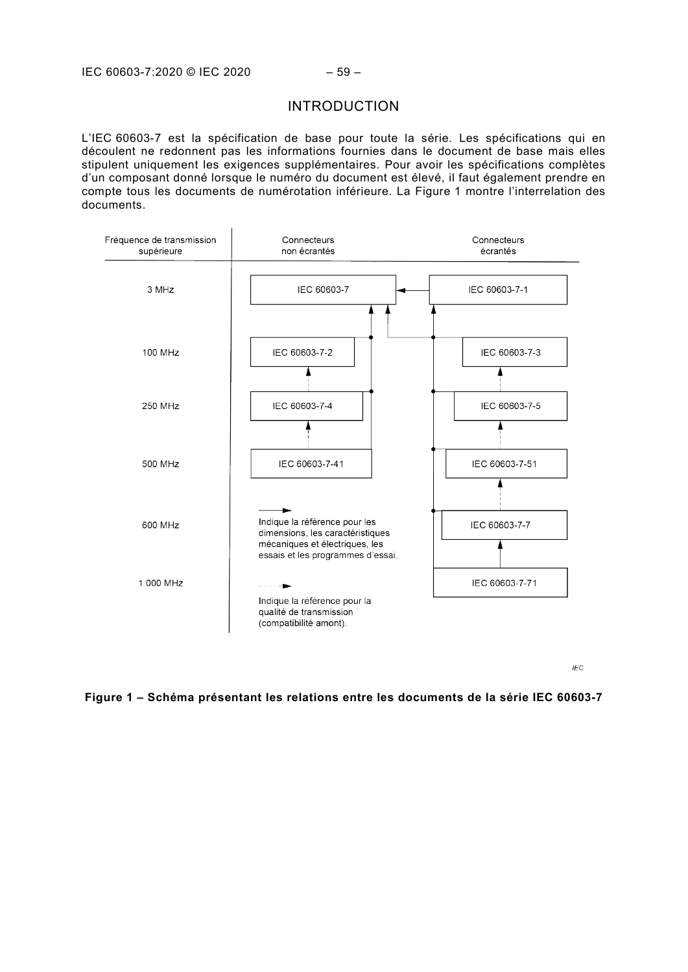## INTRODUCTION

<span id="page-15-0"></span>L'IEC 60603-7 est la spécification de base pour toute la série. Les spécifications qui en découlent ne redonnent pas les informations fournies dans le document de base mais elles stipulent uniquement les exigences supplémentaires. Pour avoir les spécifications complètes d'un composant donné lorsque le numéro du document est élevé, il faut également prendre en compte tous les documents de numérotation inférieure. La [Figure 1](#page-15-1) montre l'interrelation des documents.



 $IEC$ 

#### <span id="page-15-1"></span>**Figure 1 – Schéma présentant les relations entre les documents de la série IEC 60603-7**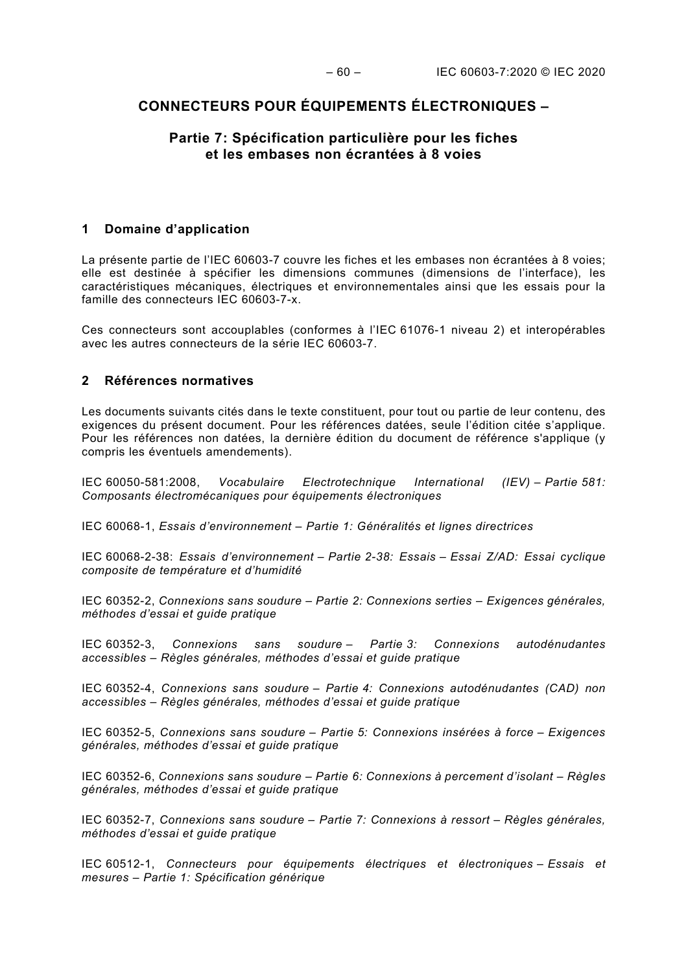## **CONNECTEURS POUR ÉQUIPEMENTS ÉLECTRONIQUES –**

# **Partie 7: Spécification particulière pour les fiches et les embases non écrantées à 8 voies**

### <span id="page-16-0"></span>**1 Domaine d'application**

La présente partie de l'IEC 60603-7 couvre les fiches et les embases non écrantées à 8 voies; elle est destinée à spécifier les dimensions communes (dimensions de l'interface), les caractéristiques mécaniques, électriques et environnementales ainsi que les essais pour la famille des connecteurs IEC 60603-7-x.

Ces connecteurs sont accouplables (conformes à l'IEC 61076-1 niveau 2) et interopérables avec les autres connecteurs de la série IEC 60603-7.

#### <span id="page-16-1"></span>**2 Références normatives**

Les documents suivants cités dans le texte constituent, pour tout ou partie de leur contenu, des exigences du présent document. Pour les références datées, seule l'édition citée s'applique. Pour les références non datées, la dernière édition du document de référence s'applique (y compris les éventuels amendements).

IEC 60050-581:2008, *Vocabulaire Electrotechnique International (IEV) – Partie 581: Composants électromécaniques pour équipements électroniques*

IEC 60068-1, *Essais d'environnement – Partie 1: Généralités et lignes directrices*

IEC 60068-2-38: *Essais d'environnement – Partie 2-38: Essais – Essai Z/AD: Essai cyclique composite de température et d'humidité*

IEC 60352-2, *Connexions sans soudure – Partie 2: Connexions serties – Exigences générales, méthodes d'essai et guide pratique*

IEC 60352-3, *Connexions sans soudure – Partie 3: Connexions autodénudantes accessibles – Règles générales, méthodes d'essai et guide pratique*

IEC 60352-4, *Connexions sans soudure – Partie 4: Connexions autodénudantes (CAD) non accessibles – Règles générales, méthodes d'essai et guide pratique*

IEC 60352-5, *Connexions sans soudure – Partie 5: Connexions insérées à force – Exigences générales, méthodes d'essai et guide pratique*

IEC 60352-6, *Connexions sans soudure – Partie 6: Connexions à percement d'isolant – Règles générales, méthodes d'essai et guide pratique*

IEC 60352-7, *Connexions sans soudure – Partie 7: Connexions à ressort – Règles générales, méthodes d'essai et guide pratique*

IEC 60512-1, *Connecteurs pour équipements électriques et électroniques – Essais et mesures – Partie 1: Spécification générique*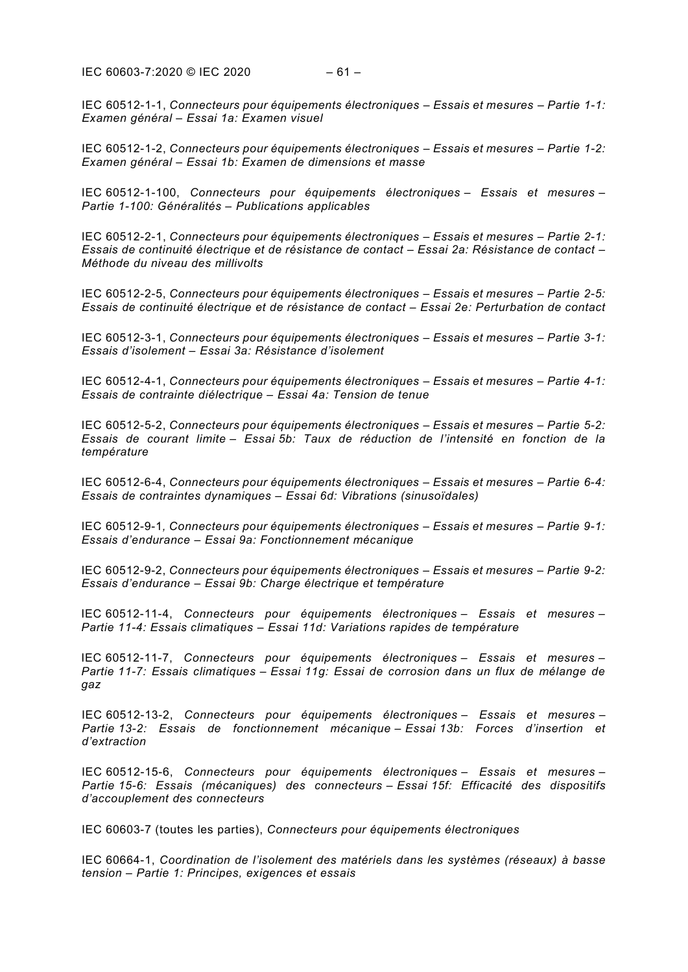IEC 60603-7:2020 © IEC 2020 – 61 –

IEC 60512-1-1, *Connecteurs pour équipements électroniques – Essais et mesures – Partie 1-1: Examen général – Essai 1a: Examen visuel*

IEC 60512-1-2, *Connecteurs pour équipements électroniques – Essais et mesures – Partie 1-2: Examen général – Essai 1b: Examen de dimensions et masse*

IEC 60512-1-100, *Connecteurs pour équipements électroniques – Essais et mesures – Partie 1-100: Généralités – Publications applicables*

IEC 60512-2-1, *Connecteurs pour équipements électroniques – Essais et mesures – Partie 2-1: Essais de continuité électrique et de résistance de contact – Essai 2a: Résistance de contact – Méthode du niveau des millivolts*

IEC 60512-2-5, *Connecteurs pour équipements électroniques – Essais et mesures – Partie 2-5: Essais de continuité électrique et de résistance de contact – Essai 2e: Perturbation de contact*

IEC 60512-3-1, *Connecteurs pour équipements électroniques – Essais et mesures – Partie 3-1: Essais d'isolement – Essai 3a: Résistance d'isolement*

IEC 60512-4-1, *Connecteurs pour équipements électroniques – Essais et mesures – Partie 4-1: Essais de contrainte diélectrique – Essai 4a: Tension de tenue*

IEC 60512-5-2, *Connecteurs pour équipements électroniques – Essais et mesures – Partie 5-2: Essais de courant limite – Essai 5b: Taux de réduction de l'intensité en fonction de la température*

IEC 60512-6-4, *Connecteurs pour équipements électroniques – Essais et mesures – Partie 6-4: Essais de contraintes dynamiques – Essai 6d: Vibrations (sinusoïdales)*

IEC 60512-9-1*, Connecteurs pour équipements électroniques – Essais et mesures – Partie 9-1: Essais d'endurance – Essai 9a: Fonctionnement mécanique*

IEC 60512-9-2, *Connecteurs pour équipements électroniques – Essais et mesures – Partie 9-2: Essais d'endurance – Essai 9b: Charge électrique et température*

IEC 60512-11-4, *Connecteurs pour équipements électroniques – Essais et mesures – Partie 11-4: Essais climatiques – Essai 11d: Variations rapides de température*

IEC 60512-11-7, *Connecteurs pour équipements électroniques – Essais et mesures – Partie 11-7: Essais climatiques – Essai 11g: Essai de corrosion dans un flux de mélange de gaz*

IEC 60512-13-2, *Connecteurs pour équipements électroniques – Essais et mesures – Partie 13-2: Essais de fonctionnement mécanique – Essai 13b: Forces d'insertion et d'extraction*

IEC 60512-15-6, *Connecteurs pour équipements électroniques – Essais et mesures – Partie 15-6: Essais (mécaniques) des connecteurs – Essai 15f: Efficacité des dispositifs d'accouplement des connecteurs*

IEC 60603-7 (toutes les parties), *Connecteurs pour équipements électroniques*

IEC 60664-1, *Coordination de l'isolement des matériels dans les systèmes (réseaux) à basse tension – Partie 1: Principes, exigences et essais*